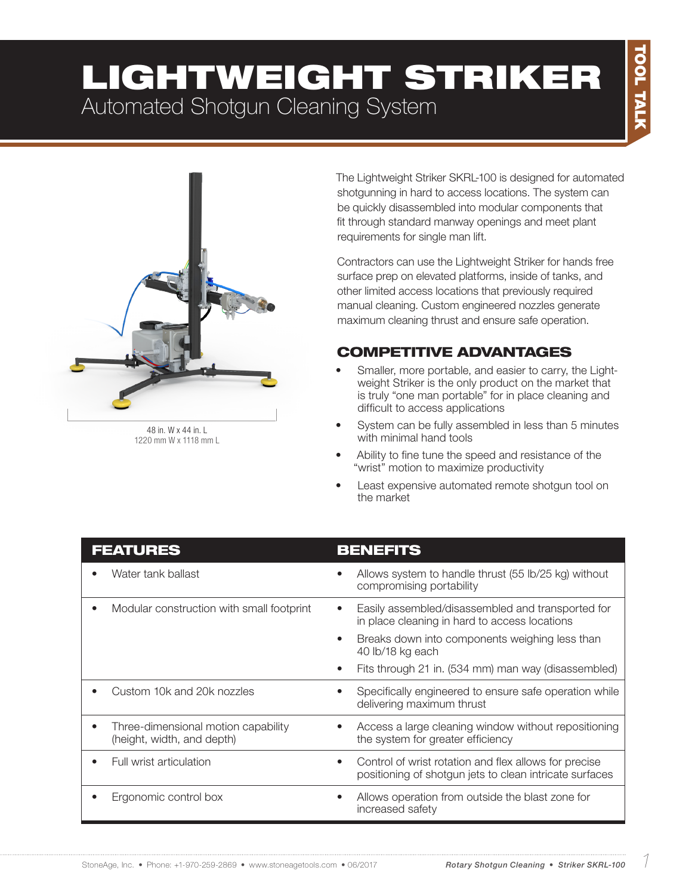# LIGHTWEIGHT STRIKER Automated Shotgun Cleaning System



1220 mm W x 1118 mm L

The Lightweight Striker SKRL-100 is designed for automated shotgunning in hard to access locations. The system can be quickly disassembled into modular components that fit through standard manway openings and meet plant requirements for single man lift.

Contractors can use the Lightweight Striker for hands free surface prep on elevated platforms, inside of tanks, and other limited access locations that previously required manual cleaning. Custom engineered nozzles generate maximum cleaning thrust and ensure safe operation.

### COMPETITIVE ADVANTAGES

- Smaller, more portable, and easier to carry, the Lightweight Striker is the only product on the market that is truly "one man portable" for in place cleaning and difficult to access applications
- System can be fully assembled in less than 5 minutes with minimal hand tools
- Ability to fine tune the speed and resistance of the "wrist" motion to maximize productivity
- Least expensive automated remote shotgun tool on the market

| <b>FEATURES</b>                                                                | <b>BENEFITS</b>                                                                                                  |
|--------------------------------------------------------------------------------|------------------------------------------------------------------------------------------------------------------|
| Water tank ballast                                                             | Allows system to handle thrust (55 lb/25 kg) without<br>$\bullet$<br>compromising portability                    |
| Modular construction with small footprint                                      | Easily assembled/disassembled and transported for<br>$\bullet$<br>in place cleaning in hard to access locations  |
|                                                                                | Breaks down into components weighing less than<br>40 lb/18 kg each                                               |
|                                                                                | Fits through 21 in. (534 mm) man way (disassembled)<br>$\bullet$                                                 |
| Custom 10k and 20k nozzles                                                     | Specifically engineered to ensure safe operation while<br>delivering maximum thrust                              |
| Three-dimensional motion capability<br>$\bullet$<br>(height, width, and depth) | Access a large cleaning window without repositioning<br>the system for greater efficiency                        |
| Full wrist articulation                                                        | Control of wrist rotation and flex allows for precise<br>positioning of shotgun jets to clean intricate surfaces |
| Ergonomic control box                                                          | Allows operation from outside the blast zone for<br>$\bullet$<br>increased safety                                |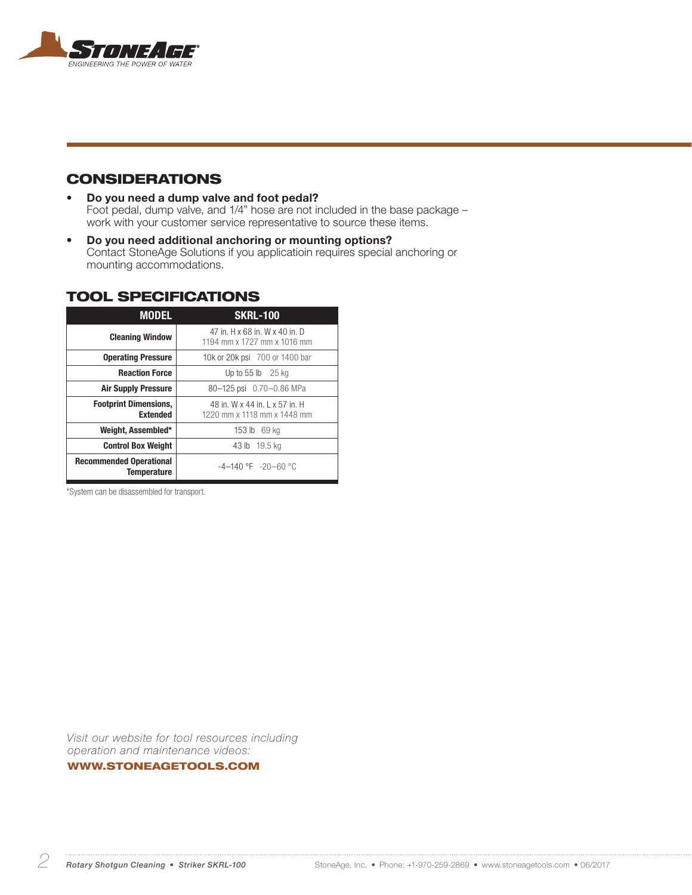

#### **CONSIDERATIONS**

- Do you need a dump valve and foot pedal? Foot pedal, dump valve, and 1/4" hose are not included in the base package – work with your customer service representative to source these items.
- Do you need additional anchoring or mounting options? Contact StoneAge Solutions if you applicatioin requires special anchoring or mounting accommodations.

#### TOOL SPECIFICATIONS

| <b>MODEL</b>                                         | <b>SKRL-100</b>                                               |
|------------------------------------------------------|---------------------------------------------------------------|
| <b>Cleaning Window</b>                               | 47 in. H x 68 in. W x 40 in. D<br>1194 mm x 1727 mm x 1016 mm |
| <b>Operating Pressure</b>                            | 10k or 20k psi 700 or 1400 bar                                |
| <b>Reaction Force</b>                                | Up to $55$ lb $25$ kg                                         |
| <b>Air Supply Pressure</b>                           | 80-125 psi 0.70-0.86 MPa                                      |
| <b>Footprint Dimensions,</b><br><b>Extended</b>      | 48 in W x 44 in L x 57 in H<br>1220 mm x 1118 mm x 1448 mm    |
| Weight, Assembled*                                   | 153 lb 69 kg                                                  |
| <b>Control Box Weight</b>                            | 43 lb 19.5 kg                                                 |
| <b>Recommended Operational</b><br><b>Temperature</b> | $-4-140$ °F $-20-60$ °C                                       |

\*System can be disassembled for transport.

*Visit our website for tool resources including operation and maintenance videos:* 

#### WWW.STONEAGETOOLS.COM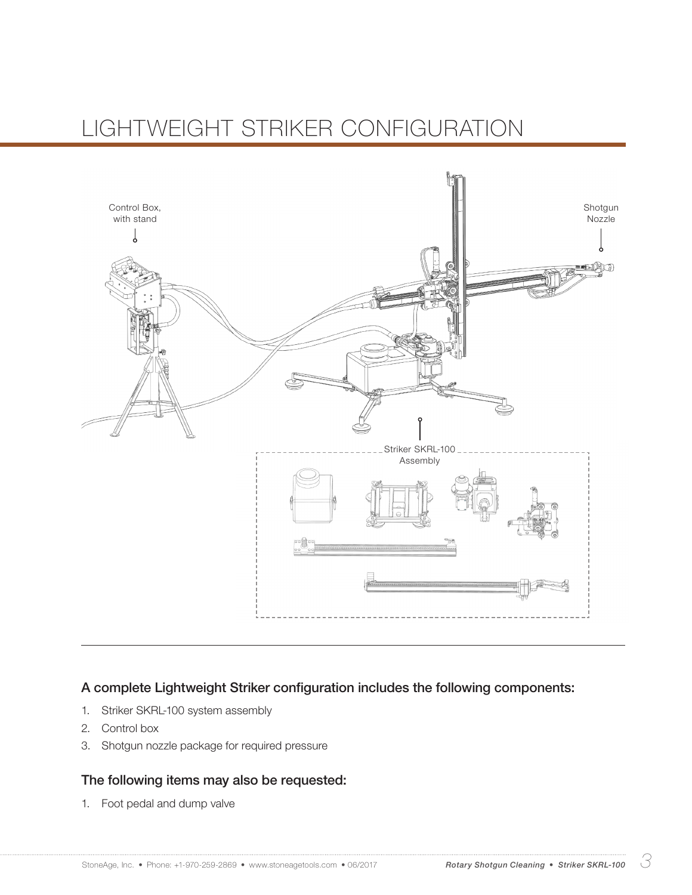# LIGHTWEIGHT STRIKER CONFIGURATION



#### A complete Lightweight Striker configuration includes the following components:

- 1. Striker SKRL-100 system assembly
- 2. Control box
- 3. Shotgun nozzle package for required pressure

#### The following items may also be requested:

1. Foot pedal and dump valve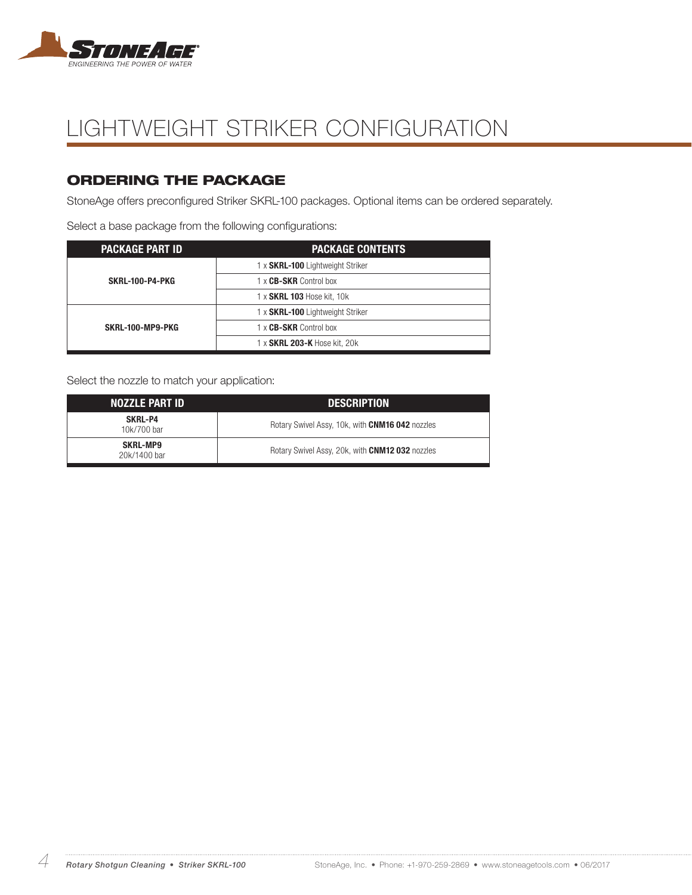

# LIGHTWEIGHT STRIKER CONFIGURATION

### ORDERING THE PACKAGE

StoneAge offers preconfigured Striker SKRL-100 packages. Optional items can be ordered separately.

Select a base package from the following configurations:

| <b>PACKAGE PART ID</b> | <b>PACKAGE CONTENTS</b>                 |
|------------------------|-----------------------------------------|
| <b>SKRL-100-P4-PKG</b> | 1 x <b>SKRL-100</b> Lightweight Striker |
|                        | 1 x CB-SKR Control box                  |
|                        | 1 x SKRL 103 Hose kit, 10k              |
| SKRL-100-MP9-PKG       | 1 x SKRL-100 Lightweight Striker        |
|                        | 1 x CB-SKR Control box                  |
|                        | 1 x SKRL 203-K Hose kit, 20k            |

Select the nozzle to match your application:

| <b>NOZZLE PART ID</b>           | <b>DESCRIPTION</b>                              |
|---------------------------------|-------------------------------------------------|
| SKRL-P4<br>10k/700 bar          | Rotary Swivel Assy, 10k, with CNM16 042 nozzles |
| <b>SKRL-MP9</b><br>20k/1400 bar | Rotary Swivel Assy, 20k, with CNM12 032 nozzles |